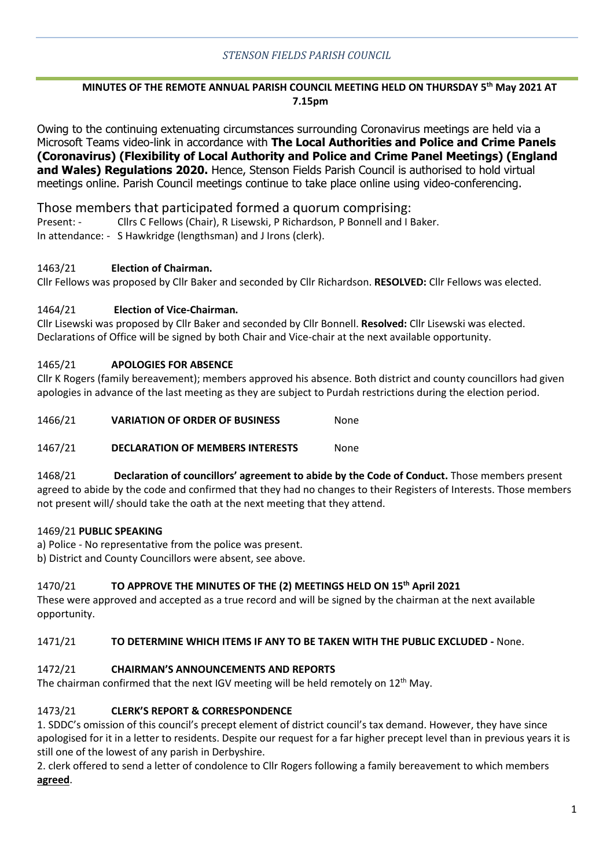### *STENSON FIELDS PARISH COUNCIL*

### **MINUTES OF THE REMOTE ANNUAL PARISH COUNCIL MEETING HELD ON THURSDAY 5 th May 2021 AT 7.15pm**

Owing to the continuing extenuating circumstances surrounding Coronavirus meetings are held via a Microsoft Teams video-link in accordance with **The Local Authorities and Police and Crime Panels (Coronavirus) (Flexibility of Local Authority and Police and Crime Panel Meetings) (England and Wales) Regulations 2020.** Hence, Stenson Fields Parish Council is authorised to hold virtual meetings online. Parish Council meetings continue to take place online using video-conferencing.

### Those members that participated formed a quorum comprising:

Present: - Cllrs C Fellows (Chair), R Lisewski, P Richardson, P Bonnell and I Baker. In attendance: - S Hawkridge (lengthsman) and J Irons (clerk).

### 1463/21 **Election of Chairman.**

Cllr Fellows was proposed by Cllr Baker and seconded by Cllr Richardson. **RESOLVED:** Cllr Fellows was elected.

### 1464/21 **Election of Vice-Chairman.**

Cllr Lisewski was proposed by Cllr Baker and seconded by Cllr Bonnell. **Resolved:** Cllr Lisewski was elected. Declarations of Office will be signed by both Chair and Vice-chair at the next available opportunity.

### 1465/21 **APOLOGIES FOR ABSENCE**

Cllr K Rogers (family bereavement); members approved his absence. Both district and county councillors had given apologies in advance of the last meeting as they are subject to Purdah restrictions during the election period.

1466/21 **VARIATION OF ORDER OF BUSINESS** None

1467/21 **DECLARATION OF MEMBERS INTERESTS** None

1468/21 **Declaration of councillors' agreement to abide by the Code of Conduct.** Those members present agreed to abide by the code and confirmed that they had no changes to their Registers of Interests. Those members not present will/ should take the oath at the next meeting that they attend.

### 1469/21 **PUBLIC SPEAKING**

a) Police - No representative from the police was present.

b) District and County Councillors were absent, see above.

### 1470/21 **TO APPROVE THE MINUTES OF THE (2) MEETINGS HELD ON 15 th April 2021**

These were approved and accepted as a true record and will be signed by the chairman at the next available opportunity.

### 1471/21 **TO DETERMINE WHICH ITEMS IF ANY TO BE TAKEN WITH THE PUBLIC EXCLUDED -** None.

### 1472/21 **CHAIRMAN'S ANNOUNCEMENTS AND REPORTS**

The chairman confirmed that the next IGV meeting will be held remotely on  $12<sup>th</sup>$  May.

## 1473/21 **CLERK'S REPORT & CORRESPONDENCE**

1. SDDC's omission of this council's precept element of district council's tax demand. However, they have since apologised for it in a letter to residents. Despite our request for a far higher precept level than in previous years it is still one of the lowest of any parish in Derbyshire.

2. clerk offered to send a letter of condolence to Cllr Rogers following a family bereavement to which members **agreed**.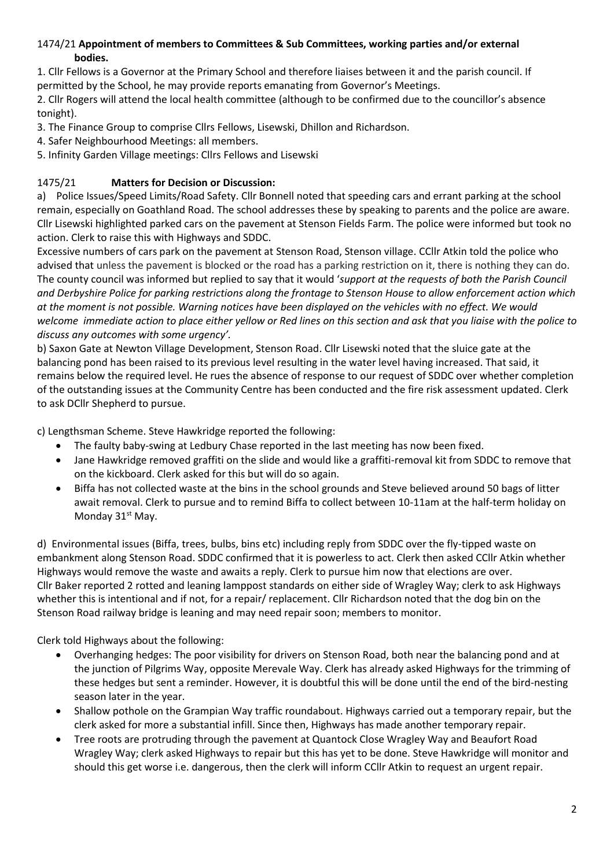### 1474/21 **Appointment of members to Committees & Sub Committees, working parties and/or external bodies.**

1. Cllr Fellows is a Governor at the Primary School and therefore liaises between it and the parish council. If permitted by the School, he may provide reports emanating from Governor's Meetings.

2. Cllr Rogers will attend the local health committee (although to be confirmed due to the councillor's absence tonight).

- 3. The Finance Group to comprise Cllrs Fellows, Lisewski, Dhillon and Richardson.
- 4. Safer Neighbourhood Meetings: all members.
- 5. Infinity Garden Village meetings: Cllrs Fellows and Lisewski

### 1475/21 **Matters for Decision or Discussion:**

a) Police Issues/Speed Limits/Road Safety. Cllr Bonnell noted that speeding cars and errant parking at the school remain, especially on Goathland Road. The school addresses these by speaking to parents and the police are aware. Cllr Lisewski highlighted parked cars on the pavement at Stenson Fields Farm. The police were informed but took no action. Clerk to raise this with Highways and SDDC.

Excessive numbers of cars park on the pavement at Stenson Road, Stenson village. CCllr Atkin told the police who advised that unless the pavement is blocked or the road has a parking restriction on it, there is nothing they can do. The county council was informed but replied to say that it would '*support at the requests of both the Parish Council and Derbyshire Police for parking restrictions along the frontage to Stenson House to allow enforcement action which at the moment is not possible. Warning notices have been displayed on the vehicles with no effect. We would welcome immediate action to place either yellow or Red lines on this section and ask that you liaise with the police to discuss any outcomes with some urgency'.* 

b) Saxon Gate at Newton Village Development, Stenson Road. Cllr Lisewski noted that the sluice gate at the balancing pond has been raised to its previous level resulting in the water level having increased. That said, it remains below the required level. He rues the absence of response to our request of SDDC over whether completion of the outstanding issues at the Community Centre has been conducted and the fire risk assessment updated. Clerk to ask DCllr Shepherd to pursue.

c) Lengthsman Scheme. Steve Hawkridge reported the following:

- The faulty baby-swing at Ledbury Chase reported in the last meeting has now been fixed.
- Jane Hawkridge removed graffiti on the slide and would like a graffiti-removal kit from SDDC to remove that on the kickboard. Clerk asked for this but will do so again.
- Biffa has not collected waste at the bins in the school grounds and Steve believed around 50 bags of litter await removal. Clerk to pursue and to remind Biffa to collect between 10-11am at the half-term holiday on Monday 31<sup>st</sup> May.

d) Environmental issues (Biffa, trees, bulbs, bins etc) including reply from SDDC over the fly-tipped waste on embankment along Stenson Road. SDDC confirmed that it is powerless to act. Clerk then asked CCllr Atkin whether Highways would remove the waste and awaits a reply. Clerk to pursue him now that elections are over. Cllr Baker reported 2 rotted and leaning lamppost standards on either side of Wragley Way; clerk to ask Highways whether this is intentional and if not, for a repair/ replacement. Cllr Richardson noted that the dog bin on the Stenson Road railway bridge is leaning and may need repair soon; members to monitor.

Clerk told Highways about the following:

- Overhanging hedges: The poor visibility for drivers on Stenson Road, both near the balancing pond and at the junction of Pilgrims Way, opposite Merevale Way. Clerk has already asked Highways for the trimming of these hedges but sent a reminder. However, it is doubtful this will be done until the end of the bird-nesting season later in the year.
- Shallow pothole on the Grampian Way traffic roundabout. Highways carried out a temporary repair, but the clerk asked for more a substantial infill. Since then, Highways has made another temporary repair.
- Tree roots are protruding through the pavement at Quantock Close Wragley Way and Beaufort Road Wragley Way; clerk asked Highways to repair but this has yet to be done. Steve Hawkridge will monitor and should this get worse i.e. dangerous, then the clerk will inform CCllr Atkin to request an urgent repair.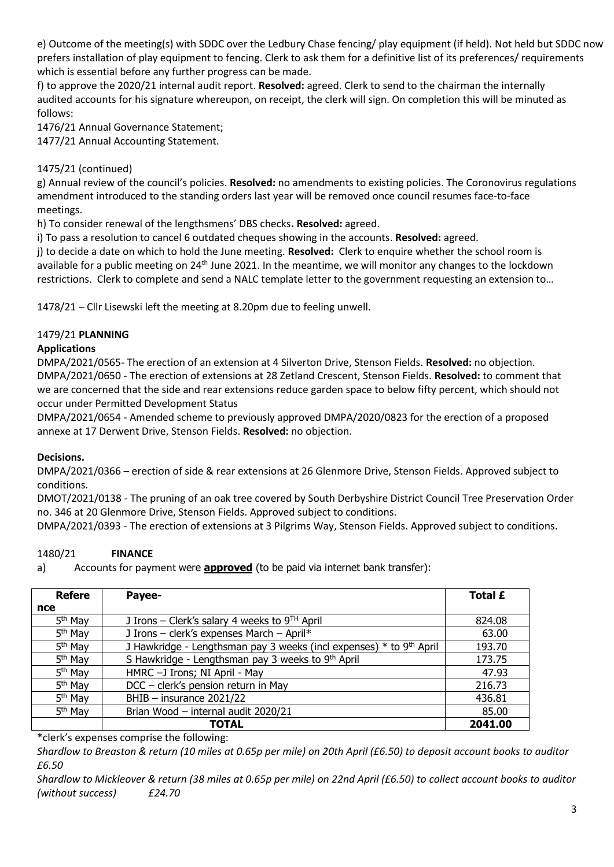e) Outcome of the meeting(s) with SDDC over the Ledbury Chase fencing/ play equipment (if held). Not held but SDDC now prefers installation of play equipment to fencing. Clerk to ask them for a definitive list of its preferences/ requirements which is essential before any further progress can be made.

f) to approve the 2020/21 internal audit report. **Resolved:** agreed. Clerk to send to the chairman the internally audited accounts for his signature whereupon, on receipt, the clerk will sign. On completion this will be minuted as follows:

1476/21 Annual Governance Statement;

1477/21 Annual Accounting Statement.

# 1475/21 (continued)

g) Annual review of the council's policies. **Resolved:** no amendments to existing policies. The Coronovirus regulations amendment introduced to the standing orders last year will be removed once council resumes face-to-face meetings.

h) To consider renewal of the lengthsmens' DBS checks**. Resolved:** agreed.

i) To pass a resolution to cancel 6 outdated cheques showing in the accounts. **Resolved:** agreed.

j) to decide a date on which to hold the June meeting. **Resolved:** Clerk to enquire whether the school room is available for a public meeting on 24<sup>th</sup> June 2021. In the meantime, we will monitor any changes to the lockdown restrictions. Clerk to complete and send a NALC template letter to the government requesting an extension to…

1478/21 – Cllr Lisewski left the meeting at 8.20pm due to feeling unwell.

## 1479/21 **PLANNING**

### **Applications**

DMPA/2021/0565- The erection of an extension at 4 Silverton Drive, Stenson Fields. **Resolved:** no objection. DMPA/2021/0650 - The erection of extensions at 28 Zetland Crescent, Stenson Fields. **Resolved:** to comment that we are concerned that the side and rear extensions reduce garden space to below fifty percent, which should not occur under Permitted Development Status

DMPA/2021/0654 - Amended scheme to previously approved DMPA/2020/0823 for the erection of a proposed annexe at 17 Derwent Drive, Stenson Fields. **Resolved:** no objection.

## **Decisions.**

DMPA/2021/0366 – erection of side & rear extensions at 26 Glenmore Drive, Stenson Fields. Approved subject to conditions.

DMOT/2021/0138 - The pruning of an oak tree covered by South Derbyshire District Council Tree Preservation Order no. 346 at 20 Glenmore Drive, Stenson Fields. Approved subject to conditions.

DMPA/2021/0393 - The erection of extensions at 3 Pilgrims Way, Stenson Fields. Approved subject to conditions.

## 1480/21 **FINANCE**

a) Accounts for payment were **approved** (to be paid via internet bank transfer):

| <b>Refere</b>       | Payee-                                                              | Total £ |
|---------------------|---------------------------------------------------------------------|---------|
| nce                 |                                                                     |         |
| 5 <sup>th</sup> May | J Irons – Clerk's salary 4 weeks to $9TH$ April                     | 824.08  |
| 5 <sup>th</sup> May | J Irons - clerk's expenses March - April*                           | 63.00   |
| 5 <sup>th</sup> May | J Hawkridge - Lengthsman pay 3 weeks (incl expenses) * to 9th April | 193.70  |
| 5 <sup>th</sup> May | S Hawkridge - Lengthsman pay 3 weeks to 9th April                   | 173.75  |
| 5 <sup>th</sup> May | HMRC -J Irons; NI April - May                                       | 47.93   |
| 5 <sup>th</sup> May | DCC - clerk's pension return in May                                 | 216.73  |
| 5 <sup>th</sup> May | BHIB $-$ insurance 2021/22                                          | 436.81  |
| 5 <sup>th</sup> May | Brian Wood - internal audit 2020/21                                 | 85.00   |
|                     | <b>TOTAL</b>                                                        | 2041.00 |

\*clerk's expenses comprise the following:

*Shardlow to Breaston & return (10 miles at 0.65p per mile) on 20th April (£6.50) to deposit account books to auditor £6.50*

*Shardlow to Mickleover & return (38 miles at 0.65p per mile) on 22nd April (£6.50) to collect account books to auditor (without success) £24.70*